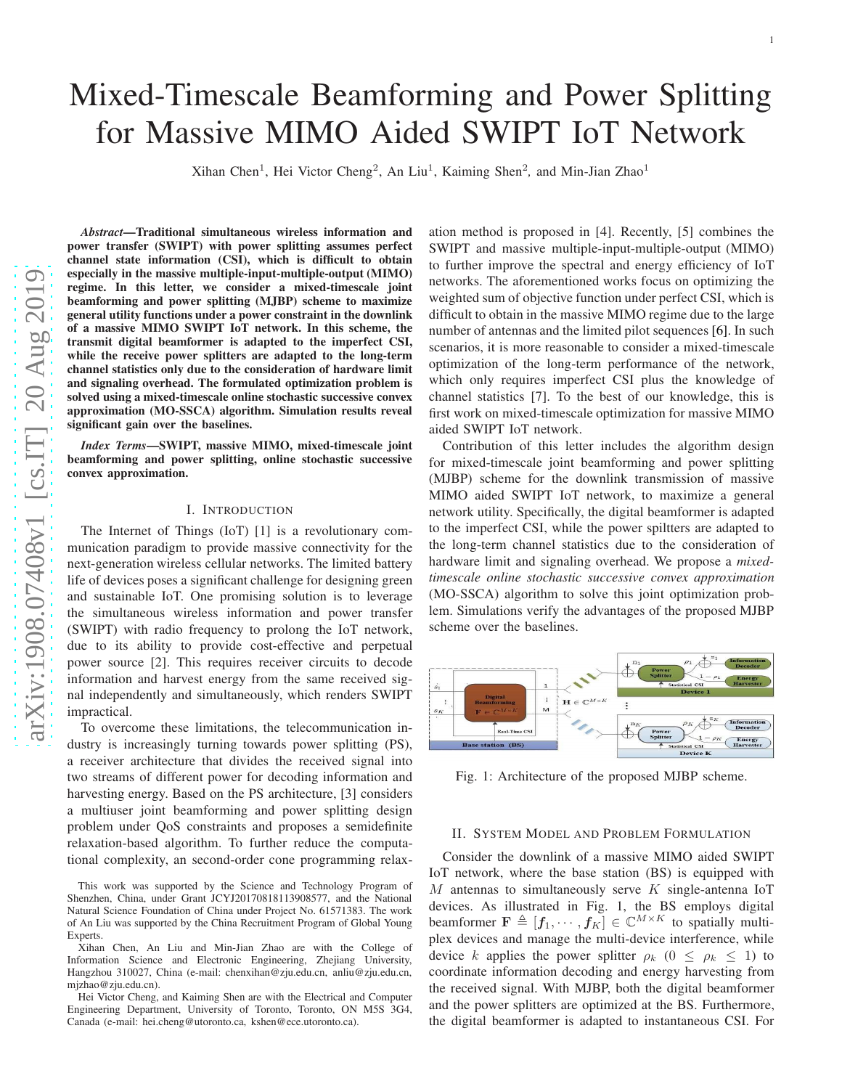# Mixed-Timescale Beamforming and Power Splitting for Massive MIMO Aided SWIPT IoT Network

Xihan Chen<sup>1</sup>, Hei Victor Cheng<sup>2</sup>, An Liu<sup>1</sup>, Kaiming Shen<sup>2</sup>, and Min-Jian Zhao<sup>1</sup>

*Abstract*—Traditional simultaneous wireless information and power transfer (SWIPT) with power splitting assumes perfec t channel state information (CSI), which is difficult to obtai n especially in the massive multiple-input-multiple-output (MIMO) regime. In this letter, we consider a mixed-timescale joint beamforming and power splitting (MJBP) scheme to maximize general utility functions under a power constraint in the downlink of a massive MIMO SWIPT IoT network. In this scheme, the transmit digital beamformer is adapted to the imperfect CSI , while the receive power splitters are adapted to the long-term channel statistics only due to the consideration of hardware limit and signaling overhead. The formulated optimization problem is solved using a mixed-timescale online stochastic successive convex approximation (MO-SSCA) algorithm. Simulation results reveal significant gain over the baselines.

*Index Terms*—SWIPT, massive MIMO, mixed-timescale joint beamforming and power splitting, online stochastic successive convex approximation.

### I. INTRODUCTION

The Internet of Things (IoT) [\[1\]](#page-5-0) is a revolutionary communication paradigm to provide massive connectivity for the next-generation wireless cellular networks. The limited battery life of devices poses a significant challenge for designing green and sustainable IoT. One promising solution is to leverage the simultaneous wireless information and power transfer (SWIPT) with radio frequency to prolong the IoT network, due to its ability to provide cost-effective and perpetual power source [\[2\]](#page-5-1). This requires receiver circuits to decode information and harvest energy from the same received signal independently and simultaneously, which renders SWIPT impractical.

To overcome these limitations, the telecommunication industry is increasingly turning towards power splitting (PS), a receiver architecture that divides the received signal into two streams of different power for decoding information and harvesting energy. Based on the PS architecture, [\[3\]](#page-5-2) considers a multiuser joint beamforming and power splitting design problem under QoS constraints and proposes a semidefinite relaxation-based algorithm. To further reduce the computa tional complexity, an second-order cone programming relax -

This work was supported by the Science and Technology Program of Shenzhen, China, under Grant JCYJ20170818113908577, and the National Natural Science Foundation of China under Project No. 61571383. The work of An Liu was supported by the China Recruitment Program of Global Young Experts.

Xihan Chen, An Liu and Min-Jian Zhao are with the College of Information Science and Electronic Engineering, Zhejiang University, Hangzhou 310027, China (e-mail: chenxihan@zju.edu.cn, anliu@zju.edu.cn, mjzhao@zju.edu.cn).

Hei Victor Cheng, and Kaiming Shen are with the Electrical and Computer Engineering Department, University of Toronto, Toronto, ON M5S 3G4, Canada (e-mail: hei.cheng@utoronto.ca, kshen@ece.utoronto.ca).

ation method is proposed in [\[4\]](#page-5-3). Recently, [\[5\]](#page-5-4) combines the SWIPT and massive multiple-input-multiple-output (MIMO) to further improve the spectral and energy efficiency of IoT networks. The aforementioned works focus on optimizing the weighted sum of objective function under perfect CSI, which is difficult to obtain in the massive MIMO regime due to the large number of antennas and the limited pilot sequences [\[6\]](#page-5-5). In such scenarios, it is more reasonable to consider a mixed-timescale optimization of the long-term performance of the network, which only requires imperfect CSI plus the knowledge of channel statistics [\[7\]](#page-5-6). To the best of our knowledge, this is first work on mixed-timescale optimization for massive MIMO aided SWIPT IoT network.

Contribution of this letter includes the algorithm design for mixed-timescale joint beamforming and power splitting (MJBP) scheme for the downlink transmission of massive MIMO aided SWIPT IoT network, to maximize a general network utility. Specifically, the digital beamformer is adapted to the imperfect CSI, while the power spiltters are adapted t o the long-term channel statistics due to the consideration o f hardware limit and signaling overhead. We propose a *mixedtimescale online stochastic successive convex approximation* (MO-SSCA) algorithm to solve this joint optimization problem. Simulations verify the advantages of the proposed MJBP scheme over the baselines.

<span id="page-0-0"></span>

Fig. 1: Architecture of the proposed MJBP scheme.

# II. SYSTEM MODEL AND PROBLEM FORMULATION

Consider the downlink of a massive MIMO aided SWIPT IoT network, where the base station (BS) is equipped with  $M$  antennas to simultaneously serve  $K$  single-antenna IoT devices. As illustrated in Fig. [1,](#page-0-0) the BS employs digital beamformer  $\mathbf{F} \triangleq [f_1, \dots, f_K] \in \mathbb{C}^{M \times K}$  to spatially multiplex devices and manage the multi-device interference, while device k applies the power splitter  $\rho_k$  ( $0 \le \rho_k \le 1$ ) to coordinate information decoding and energy harvesting fro m the received signal. With MJBP, both the digital beamformer and the power splitters are optimized at the BS. Furthermore , the digital beamformer is adapted to instantaneous CSI. For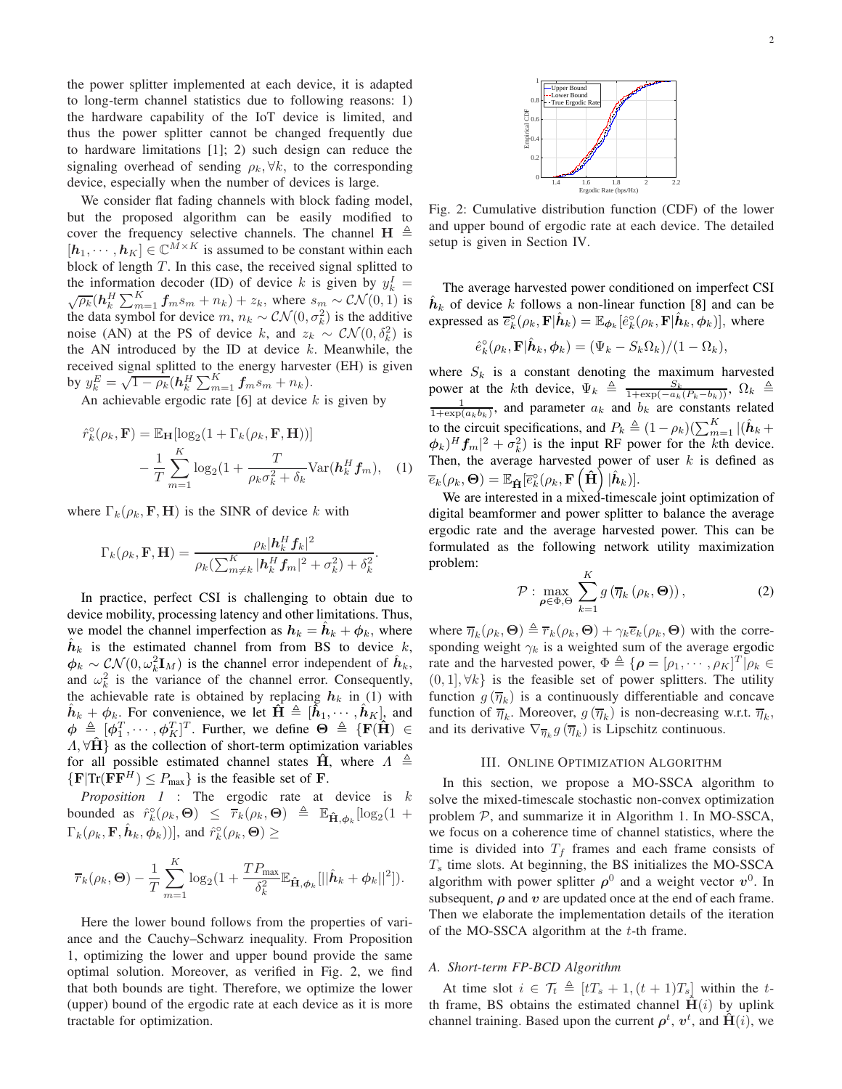the power splitter implemented at each device, it is adapted to long-term channel statistics due to following reasons: 1) the hardware capability of the IoT device is limited, and thus the power splitter cannot be changed frequently due to hardware limitations [\[1\]](#page-5-0); 2) such design can reduce the signaling overhead of sending  $\rho_k$ ,  $\forall k$ , to the corresponding device, especially when the number of devices is large.

We consider flat fading channels with block fading model, but the proposed algorithm can be easily modified to cover the frequency selective channels. The channel  $H \triangleq$  $[h_1, \cdots, h_K] \in \mathbb{C}^{M \times K}$  is assumed to be constant within each block of length  $T$ . In this case, the received signal splitted to the information decoder (ID) of device k is given by  $y_k^I$  =  $\sqrt{\rho_k}$   $(h_k^H \sum_{m=1}^K f_m s_m + n_k) + z_k$ , where  $s_m \sim \mathcal{CN}(0, 1)$  is the data symbol for device  $m, n_k \sim \mathcal{CN}(0, \sigma_k^2)$  is the additive noise (AN) at the PS of device k, and  $z_k \sim \mathcal{CN}(0, \delta_k^2)$  is the AN introduced by the ID at device  $k$ . Meanwhile, the received signal splitted to the energy harvester (EH) is given by  $y_k^E = \sqrt{1 - \rho_k} (h_k^H \sum_{m=1}^K f_m s_m + n_k).$ 

An achievable ergodic rate  $[6]$  at device k is given by

$$
\hat{r}_k^{\circ}(\rho_k, \mathbf{F}) = \mathbb{E}_{\mathbf{H}}[\log_2(1 + \Gamma_k(\rho_k, \mathbf{F}, \mathbf{H}))]
$$

$$
- \frac{1}{T} \sum_{m=1}^K \log_2(1 + \frac{T}{\rho_k \sigma_k^2 + \delta_k} \text{Var}(\mathbf{h}_k^H \mathbf{f}_m), \quad (1)
$$

where  $\Gamma_k(\rho_k, \mathbf{F}, \mathbf{H})$  is the SINR of device k with

$$
\Gamma_k(\rho_k, \mathbf{F}, \mathbf{H}) = \frac{\rho_k |\mathbf{h}_k^H \mathbf{f}_k|^2}{\rho_k(\sum_{m \neq k}^K |\mathbf{h}_k^H \mathbf{f}_m|^2 + \sigma_k^2) + \delta_k^2}.
$$

In practice, perfect CSI is challenging to obtain due to device mobility, processing latency and other limitations. Thus, we model the channel imperfection as  $h_k = \hat{h}_k + \phi_k$ , where  $\hat{h}_k$  is the estimated channel from from BS to device k,  $\phi_k \sim \mathcal{CN}(0, \omega_k^2 \mathbf{I}_M)$  is the channel error independent of  $\hat{h}_k$ , and  $\omega_k^2$  is the variance of the channel error. Consequently, the achievable rate is obtained by replacing  $h_k$  in [\(1\)](#page-1-0) with  $\hat{h}_k + \phi_k$ . For convenience, we let  $\hat{H} \triangleq [\hat{h}_1, \dots, \hat{h}_K]$ , and  $\phi \triangleq [\phi_1^T, \cdots, \phi_K^T]^T$ . Further, we define  $\Theta \triangleq \{F(H) \in$  $\Lambda$ ,  $\forall H$  as the collection of short-term optimization variables for all possible estimated channel states  $\hat{H}$ , where  $\Lambda \triangleq$  ${F|Tr(FF^H) \leq P_{\text{max}}}$  is the feasible set of **F**.

*Proposition 1* : The ergodic rate at device is k bounded as  $\hat{r}_k^{\circ}(\rho_k, \Theta) \leq \overline{r}_k(\rho_k, \Theta) \triangleq \mathbb{E}_{\hat{\mathbf{H}}, \phi_k}[\log_2(1 +$  $\Gamma_k(\rho_k, \mathbf{F}, \hat{\boldsymbol{h}}_k, \boldsymbol{\phi}_k))$ , and  $\hat{r}_k^{\circ}(\rho_k, \boldsymbol{\Theta}) \geq$ 

$$
\overline{r}_k(\rho_k, \Theta) - \frac{1}{T} \sum_{m=1}^K \log_2(1 + \frac{TP_{\max}}{\delta_k^2} \mathbb{E}_{\hat{\mathbf{H}}, \phi_k}[\|\hat{\boldsymbol{h}}_k + \phi_k\|^2]).
$$

Here the lower bound follows from the properties of variance and the Cauchy–Schwarz inequality. From Proposition 1, optimizing the lower and upper bound provide the same optimal solution. Moreover, as verified in Fig. 2, we find that both bounds are tight. Therefore, we optimize the lower (upper) bound of the ergodic rate at each device as it is more tractable for optimization.



Fig. 2: Cumulative distribution function (CDF) of the lower and upper bound of ergodic rate at each device. The detailed setup is given in Section [IV.](#page-4-0)

The average harvested power conditioned on imperfect CSI  $\hat{h}_k$  of device k follows a non-linear function [\[8\]](#page-5-7) and can be expressed as  $\overline{e}_k^{\circ}(\rho_k, \mathbf{F}|\hat{\boldsymbol{h}}_k) = \mathbb{E}_{\boldsymbol{\phi}_k}[\hat{e}_k^{\circ}(\rho_k, \mathbf{F}|\hat{\boldsymbol{h}}_k, \boldsymbol{\phi}_k)],$  where

$$
\hat{e}_k^{\circ}(\rho_k, \mathbf{F}|\hat{\boldsymbol{h}}_k, \boldsymbol{\phi}_k) = (\Psi_k - S_k \Omega_k)/(1 - \Omega_k),
$$

where  $S_k$  is a constant denoting the maximum harvested power at the kth device,  $\Psi_k \triangleq \frac{S_k}{1+\exp(-a_k(P_k-b_k))}$ ,  $\Omega_k \triangleq \frac{1}{1+\exp(a_k b_k)}$ , and parameter  $a_k$  and  $b_k$  are constants related to the circuit specifications, and  $P_k \triangleq (1 - \rho_k)(\sum_{m=1}^K |(\hat{\boldsymbol{h}}_k + \hat{\boldsymbol{h}}_k)^H$  $(\phi_k)^H f_m|^2 + \sigma_k^2$ ) is the input RF power for the kth device. Then, the average harvested power of user  $k$  is defined as  $\overline{e}_k(\rho_k,\boldsymbol{\Theta}) = \mathbb{E}_{\mathbf{\hat{H}}}[\overline{e}_k^{\circ}(\rho_k,\mathbf{F}\left(\mathbf{\hat{H}}\right)|\hat{{\boldsymbol{h}}}_k)].$ 

<span id="page-1-0"></span>We are interested in a mixed-timescale joint optimization of digital beamformer and power splitter to balance the average ergodic rate and the average harvested power. This can be formulated as the following network utility maximization problem:

<span id="page-1-2"></span>
$$
\mathcal{P}: \max_{\boldsymbol{\rho} \in \Phi, \Theta} \sum_{k=1}^{K} g\left(\overline{\eta}_k\left(\rho_k, \Theta\right)\right),\tag{2}
$$

where  $\overline{\eta}_k(\rho_k, \Theta) \triangleq \overline{r}_k(\rho_k, \Theta) + \gamma_k \overline{e}_k(\rho_k, \Theta)$  with the corresponding weight  $\gamma_k$  is a weighted sum of the average ergodic rate and the harvested power,  $\Phi \triangleq {\{\rho = [\rho_1, \cdots, \rho_K]^T | \rho_k \in \Theta\}}$  $(0, 1]$ ,  $\forall k$ } is the feasible set of power splitters. The utility function  $g(\overline{\eta}_k)$  is a continuously differentiable and concave function of  $\overline{\eta}_k$ . Moreover,  $g(\overline{\eta}_k)$  is non-decreasing w.r.t.  $\overline{\eta}_k$ , and its derivative  $\nabla_{\overline{\eta}_k} g(\overline{\eta}_k)$  is Lipschitz continuous.

# III. ONLINE OPTIMIZATION ALGORITHM

In this section, we propose a MO-SSCA algorithm to solve the mixed-timescale stochastic non-convex optimization problem  $P$ , and summarize it in Algorithm 1. In MO-SSCA, we focus on a coherence time of channel statistics, where the time is divided into  $T_f$  frames and each frame consists of  $T<sub>s</sub>$  time slots. At beginning, the BS initializes the MO-SSCA algorithm with power splitter  $\rho^0$  and a weight vector  $v^0$ . In subsequent,  $\rho$  and  $v$  are updated once at the end of each frame. Then we elaborate the implementation details of the iteration of the MO-SSCA algorithm at the  $t$ -th frame.

# <span id="page-1-1"></span>*A. Short-term FP-BCD Algorithm*

At time slot  $i \in \mathcal{T}_t \triangleq [tT_s + 1, (t+1)T_s]$  within the tth frame, BS obtains the estimated channel  $\hat{H}(i)$  by uplink channel training. Based upon the current  $\rho^t$ ,  $v^t$ , and  $\hat{H}(i)$ , we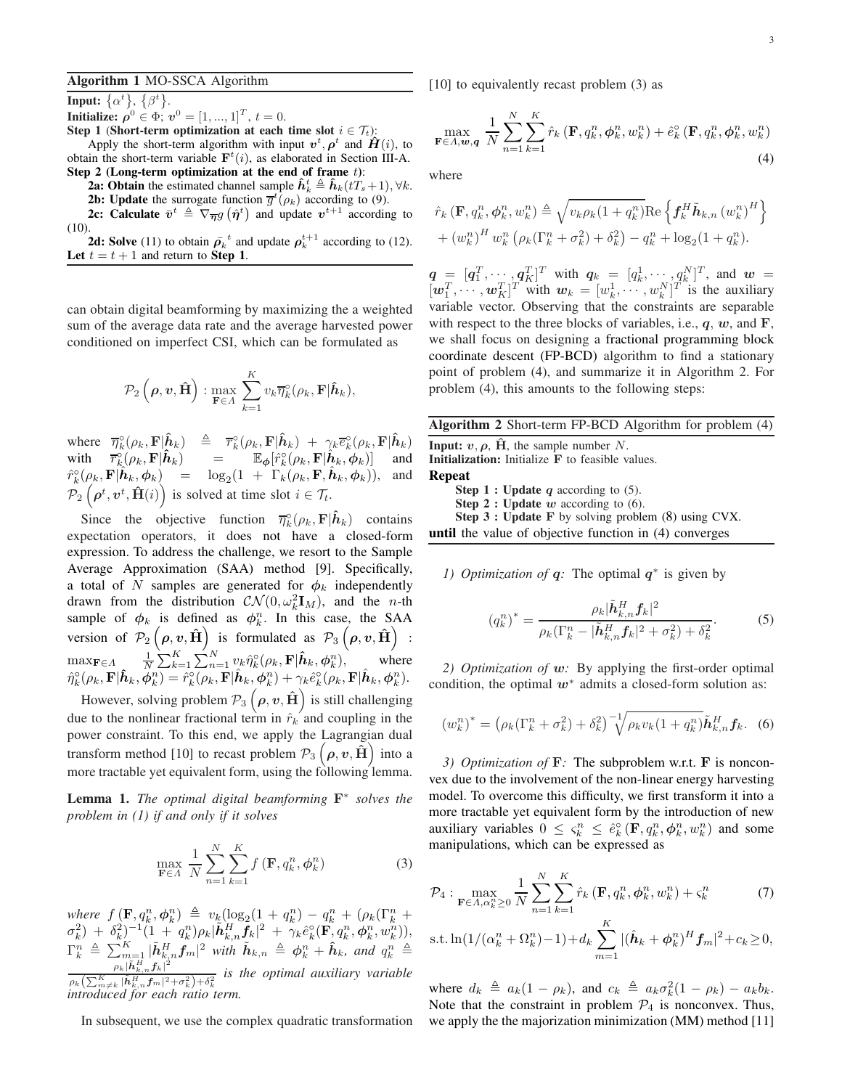#### 3

# Algorithm 1 MO-SSCA Algorithm

**Input:**  $\{\alpha^t\}, \{\beta^t\}.$ **Initialize:**  $\rho^0 \in \Phi$ ;  $v^0 = [1, ..., 1]^T$ ,  $t = 0$ .

Step 1 (Short-term optimization at each time slot  $i \in \mathcal{T}_t$ ):

Apply the short-term algorithm with input  $v^t$ ,  $\rho^t$  and  $\hat{H}(i)$ , to obtain the short-term variable  $\mathbf{F}^{t}(i)$ , as elaborated in Section [III-A.](#page-1-1)

- Step 2 (Long-term optimization at the end of frame  $t$ ): 2a: Obtain the estimated channel sample  $\hat{h}_k^t \triangleq \hat{h}_k(tT_s+1), \forall k$ .
	- **2b:** Update the surrogate function  $\overline{g}^{t}(\rho_k)$  according to [\(9\)](#page-3-0).

**2c:** Calculate  $\bar{v}^t \triangleq \nabla_{\overline{\eta}} g(\hat{\eta}^t)$  and update  $v^{t+1}$  according to [\(10\)](#page-3-1).

**2d: Solve** [\(11\)](#page-3-2) to obtain  $\bar{\rho_k}^t$  and update  $\rho_k^{t+1}$  according to [\(12\)](#page-3-3). Let  $t = t + 1$  and return to Step 1.

can obtain digital beamforming by maximizing the a weighted sum of the average data rate and the average harvested power conditioned on imperfect CSI, which can be formulated as

$$
\mathcal{P}_2\left(\boldsymbol{\rho}, \boldsymbol{v}, \hat{\mathbf{H}}\right) : \max_{\mathbf{F} \in \Lambda} \sum_{k=1}^K v_k \overline{\eta}_k^{\circ}(\rho_k, \mathbf{F} | \hat{\boldsymbol{h}}_k),
$$

where  $\overline{\eta}_k^{\circ}(\rho_k, \mathbf{F} | \hat{\hat{\mathbf{h}}}_k)$   $\triangleq$   $\overline{r}_k^{\circ}(\rho_k, \mathbf{F} | \hat{\mathbf{h}}_k)$  +  $\gamma_k \overline{e}_k^{\circ}(\rho_k, \mathbf{F} | \hat{\mathbf{h}}_k)$ with  $\overline{r}_k^{\circ}(\rho_k, \mathbf{F}|\hat{\boldsymbol{h}}_k)$  =  $\mathbb{E}_{\phi}[\hat{r}_k^{\circ}(\rho_k, \mathbf{F}|\hat{\boldsymbol{h}}_k, \phi_k)]$  and  $\hat{r}_k^{\circ}(\rho_k, \mathbf{F} | \hat{\boldsymbol{h}}_k, \boldsymbol{\phi}_k)$  =  $\log_2(1 + \Gamma_k(\rho_k, \mathbf{F}, \hat{\boldsymbol{h}}_k, \boldsymbol{\phi}_k)),$  and  $\mathcal{P}_2\left(\boldsymbol{\rho}^t, \boldsymbol{v}^t, \hat{\mathbf{H}}(i)\right)$  is solved at time slot  $i \in \mathcal{T}_t$ .

Since the objective function  $\overline{\eta}_k^{\circ}(\rho_k, \mathbf{F} | \hat{\boldsymbol{h}}_k)$  contains expectation operators, it does not have a closed-form expression. To address the challenge, we resort to the Sample Average Approximation (SAA) method [\[9\]](#page-5-8). Specifically, a total of N samples are generated for  $\phi_k$  independently drawn from the distribution  $CN(0, \omega_k^2 \mathbf{I}_M)$ , and the *n*-th sample of  $\phi_k$  is defined as  $\phi_k^n$ . In this case, the SAA version of  $\mathcal{P}_2(\rho, v, \hat{\mathbf{H}})$  is formulated as  $\mathcal{P}_3(\rho, v, \hat{\mathbf{H}})$ :  $\max_{\mathbf{F} \in \Lambda}$   $\frac{1}{N} \sum_{k=1}^{K} \sum_{n=1}^{N} v_k \hat{\eta}_k^{\circ}(\rho_k, \mathbf{F} | \hat{\boldsymbol{h}}_k, \boldsymbol{\phi}_k^n),$  where  $\hat{\eta}_k^\circ(\rho_k,\textbf{F}|\hat{\boldsymbol{h}}_k,\boldsymbol{\phi}_k^n)=\hat{r}_k^\circ(\rho_k,\textbf{F}|\hat{\boldsymbol{h}}_k,\boldsymbol{\phi}_k^n)+\gamma_k\hat{e}_k^\circ(\rho_k,\textbf{F}|\hat{\boldsymbol{h}}_k,\boldsymbol{\phi}_k^n).$ 

However, solving problem  $\mathcal{P}_3\left(\boldsymbol{\rho},\boldsymbol{v},\hat{\mathbf{H}}\right)$  is still challenging due to the nonlinear fractional term in  $\hat{r}_k$  and coupling in the power constraint. To this end, we apply the Lagrangian dual transform method [\[10\]](#page-5-9) to recast problem  $\mathcal{P}_3\left(\rho,\nu,\tilde{H}\right)$  into a more tractable yet equivalent form, using the following lemma.

<span id="page-2-0"></span>Lemma 1. *The optimal digital beamforming* F<sup>∗</sup> *solves the problem in [\(1\)](#page-2-0) if and only if it solves*

<span id="page-2-1"></span>
$$
\max_{\mathbf{F}\in\Lambda} \frac{1}{N} \sum_{n=1}^{N} \sum_{k=1}^{K} f\left(\mathbf{F}, q_{k}^{n}, \boldsymbol{\phi}_{k}^{n}\right)
$$
(3)

where  $f(\mathbf{F}, q_k^n, \phi_k^n) \triangleq v_k(\log_2(1 + q_k^n) - q_k^n + (\rho_k(\Gamma_k^n +$  $\sigma_k^2)\ +\ \delta_k^2)^{-1}(1\ +\ q_k^n)\rho_k|\tilde{\bm h}_{k,n}^H\tilde{\bm f}_k|^2\ +\ \gamma_k\hat{e}_k^\circ(\tilde{\mathbf{F}},q_k^n,\bm\phi_k^n,w_k^n)),$  $\Gamma_k^n \triangleq \sum_{m=1}^K |\tilde{h}_{k,n}^H \tilde{f}_m|^2$  with  $\tilde{h}_{k,n} \triangleq \phi_k^n + \hat{h}_k$ , and  $q_k^n \triangleq$  $\rho_k |\tilde{\boldsymbol{h}}_{k,n}^{\tilde{H}} \boldsymbol{f}_k|^2$  $\rho_k\left(\sum_{m\neq k}^K|\tilde{h}_{k,n}^Hf_m|^2+\sigma_k^2\right)+\delta_k^2$  is the optimal auxiliary variable *introduced for each ratio term.*

In subsequent, we use the complex quadratic transformation

[\[10\]](#page-5-9) to equivalently recast problem [\(3\)](#page-2-1) as

<span id="page-2-2"></span>
$$
\max_{\mathbf{F}\in A,\mathbf{w},\mathbf{q}}\frac{1}{N}\sum_{n=1}^{N}\sum_{k=1}^{K}\hat{r}_{k}\left(\mathbf{F},q_{k}^{n},\boldsymbol{\phi}_{k}^{n},w_{k}^{n}\right)+\hat{e}_{k}^{\circ}\left(\mathbf{F},q_{k}^{n},\boldsymbol{\phi}_{k}^{n},w_{k}^{n}\right)
$$
\n(4)

where

$$
\hat{r}_k(\mathbf{F}, q_k^n, \phi_k^n, w_k^n) \triangleq \sqrt{v_k \rho_k (1 + q_k^n)} \text{Re} \left\{ \mathbf{f}_k^H \tilde{\mathbf{h}}_{k,n} (w_k^n)^H \right\} + (w_k^n)^H w_k^n (\rho_k (\Gamma_k^n + \sigma_k^2) + \delta_k^2) - q_k^n + \log_2(1 + q_k^n).
$$

 $q = [q_1^T, \dots, q_K^T]^T$  with  $q_k = [q_k^1, \dots, q_K^N]^T$ , and  $w =$  $[\boldsymbol{w}_1^T, \cdots, \boldsymbol{w}_K^T]^T$  with  $\boldsymbol{w}_k = [w_k^1, \cdots, w_k^N]^T$  is the auxiliary variable vector. Observing that the constraints are separable with respect to the three blocks of variables, i.e.,  $q, w$ , and  $F$ , we shall focus on designing a fractional programming block coordinate descent (FP-BCD) algorithm to find a stationary point of problem [\(4\)](#page-2-2), and summarize it in Algorithm 2. For problem [\(4\)](#page-2-2), this amounts to the following steps:

Algorithm 2 Short-term FP-BCD Algorithm for problem [\(4\)](#page-2-2)

**Input:**  $v, \rho, \hat{H}$ , the sample number N. Initialization: Initialize F to feasible values. Repeat **Step 1 : Update q according to [\(5\)](#page-2-3). Step 2 : Update**  $w$  according to [\(6\)](#page-2-4).

Step 3 : Update F by solving problem ([8](#page-3-4)) using CVX. until the value of objective function in [\(4\)](#page-2-2) converges

*1) Optimization of q:* The optimal  $q^*$  is given by

<span id="page-2-3"></span>
$$
(q_k^n)^* = \frac{\rho_k |\tilde{\bm{h}}_{k,n}^H \bm{f}_k|^2}{\rho_k (\Gamma_k^n - |\tilde{\bm{h}}_{k,n}^H \bm{f}_k|^2 + \sigma_k^2) + \delta_k^2}.
$$
 (5)

*2) Optimization of* w*:* By applying the first-order optimal condition, the optimal  $w^*$  admits a closed-form solution as:

<span id="page-2-4"></span>
$$
(w_k^n)^* = (\rho_k(\Gamma_k^n + \sigma_k^2) + \delta_k^2)^{-1} \sqrt{\rho_k v_k (1 + q_k^n)} \tilde{\boldsymbol{h}}_{k,n}^H \boldsymbol{f}_k.
$$
 (6)

*3) Optimization of* F*:* The subproblem w.r.t. F is nonconvex due to the involvement of the non-linear energy harvesting model. To overcome this difficulty, we first transform it into a more tractable yet equivalent form by the introduction of new auxiliary variables  $0 \leq \zeta_k^n \leq \hat{e}_k^{\circ}(\mathbf{F}, q_k^n, \phi_k^n, w_k^n)$  and some manipulations, which can be expressed as

$$
\mathcal{P}_4: \max_{\mathbf{F}\in A, \alpha_k^n \ge 0} \frac{1}{N} \sum_{n=1}^N \sum_{k=1}^K \hat{r}_k (\mathbf{F}, q_k^n, \phi_k^n, w_k^n) + \varsigma_k^n \tag{7}
$$

s.t. 
$$
\ln(1/(\alpha_k^n + \Omega_k^n) - 1) + d_k \sum_{m=1} |\hat{h}_k + \phi_k^n|^H f_m|^2 + c_k \ge 0
$$
,

where  $d_k \triangleq a_k(1 - \rho_k)$ , and  $c_k \triangleq a_k\sigma_k^2(1 - \rho_k) - a_kb_k$ . Note that the constraint in problem  $P_4$  is nonconvex. Thus, we apply the the majorization minimization (MM) method [\[11\]](#page-5-10)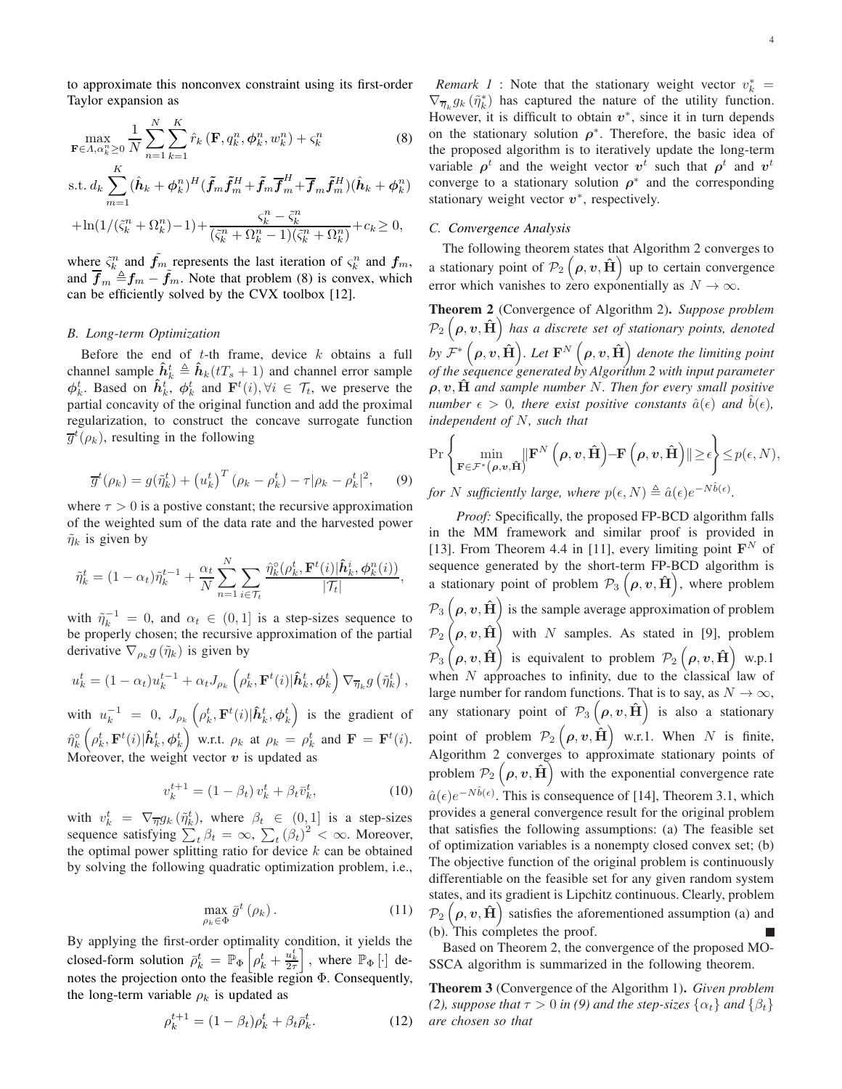to approximate this nonconvex constraint using its first-order Taylor expansion as

$$
\max_{\mathbf{F}\in A, \alpha_{k}^{n}\geq 0} \frac{1}{N} \sum_{n=1}^{N} \sum_{k=1}^{K} \hat{r}_{k} \left(\mathbf{F}, q_{k}^{n}, \phi_{k}^{n}, w_{k}^{n}\right) + \varsigma_{k}^{n}
$$
\n(8)

s.t. 
$$
d_k \sum_{m=1}^{K} (\hat{\boldsymbol{h}}_k + \boldsymbol{\phi}_k^n)^H (\tilde{\boldsymbol{f}}_m \tilde{\boldsymbol{f}}_m^H + \tilde{\boldsymbol{f}}_m \overline{\boldsymbol{f}}_m^H + \overline{\boldsymbol{f}}_m \tilde{\boldsymbol{f}}_m^H)(\hat{\boldsymbol{h}}_k + \boldsymbol{\phi}_k^n)
$$

$$
+\ln(1/(\tilde{\zeta}_k^n+\Omega_k^n)-1)+\frac{\varsigma_k^n-\tilde{\zeta}_k^n}{(\tilde{\zeta}_k^n+\Omega_k^n-1)(\tilde{\zeta}_k^n+\Omega_k^n)}+c_k\geq 0,
$$

where  $\tilde{\zeta}_k^n$  and  $\tilde{f}_m$  represents the last iteration of  $\zeta_k^n$  and  $f_m$ , and  $\overline{f}_m \triangleq f_m - f_m$ . Note that problem [\(8\)](#page-3-4) is convex, which can be efficiently solved by the CVX toolbox [\[12\]](#page-5-11).

# *B. Long-term Optimization*

Before the end of  $t$ -th frame, device  $k$  obtains a full channel sample  $\hat{h}_k^t \triangleq \hat{h}_k(tT_s + 1)$  and channel error sample  $\phi_k^t$ . Based on  $\hat{h}_k^t$ ,  $\phi_k^t$  and  $\mathbf{F}^t(i)$ ,  $\forall i \in \mathcal{T}_t$ , we preserve the partial concavity of the original function and add the proximal regularization, to construct the concave surrogate function  $\overline{g}^t(\rho_k)$ , resulting in the following

<span id="page-3-0"></span>
$$
\overline{g}^t(\rho_k) = g(\tilde{\eta}_k^t) + \left(u_k^t\right)^T (\rho_k - \rho_k^t) - \tau |\rho_k - \rho_k^t|^2, \qquad (9)
$$

where  $\tau > 0$  is a postive constant; the recursive approximation of the weighted sum of the data rate and the harvested power  $\tilde{\eta}_k$  is given by

$$
\tilde{\eta}_k^t = (1 - \alpha_t)\tilde{\eta}_k^{t-1} + \frac{\alpha_t}{N} \sum_{n=1}^N \sum_{i \in \mathcal{T}_t} \frac{\hat{\eta}_k^{\circ}(\rho_k^t, \mathbf{F}^t(i)|\hat{\mathbf{h}}_k^i, \phi_k^n(i))}{|\mathcal{T}_t|},
$$

with  $\tilde{\eta}_k^{-1} = 0$ , and  $\alpha_t \in (0, 1]$  is a step-sizes sequence to be properly chosen; the recursive approximation of the partial derivative  $\nabla_{\rho_k} g(\tilde{\eta}_k)$  is given by

$$
u_k^t = (1 - \alpha_t)u_k^{t-1} + \alpha_t J_{\rho_k} \left( \rho_k^t, \mathbf{F}^t(i) | \hat{\boldsymbol{h}}_k^t, \boldsymbol{\phi}_k^t \right) \nabla_{\overline{\eta}_k} g \left( \tilde{\eta}_k^t \right),
$$

with  $u_k^{-1} = 0$ ,  $J_{\rho_k} \left( \rho_k^t, \mathbf{F}^t(i) | \hat{\boldsymbol{h}}_k^t, \boldsymbol{\phi}_k^t \right)$  is the gradient of  $\hat{\eta}_k^\circ\left(\rho_k^t,\mathbf{F}^t(i)|\hat{\boldsymbol{h}}_k^t,\boldsymbol{\phi}_k^t\right)$  w.r.t.  $\rho_k$  at  $\rho_k\,=\,\rho_k^t$  and  $\mathbf{F}\,=\,\mathbf{F}^t(i).$ Moreover, the weight vector  $v$  is updated as

<span id="page-3-1"></span>
$$
v_k^{t+1} = (1 - \beta_t) v_k^t + \beta_t \bar{v}_k^t, \tag{10}
$$

with  $v_k^t = \nabla_{\overline{\eta}} g_k(\tilde{\eta}_k^t)$ , where  $\beta_t \in (0, 1]$  is a step-sizes sequence satisfying  $\sum_{t}^{\infty} \beta_t = \infty$ ,  $\sum_{t} (\beta_t)^2 < \infty$ . Moreover, the optimal power splitting ratio for device  $k$  can be obtained by solving the following quadratic optimization problem, i.e.,

$$
\max_{\rho_k \in \Phi} \bar{g}^t \left( \rho_k \right). \tag{11}
$$

By applying the first-order optimality condition, it yields the closed-form solution  $\bar{\rho}_k^t = \mathbb{P}_{\Phi} \left[ \rho_k^t + \frac{u_k^t}{2\tau} \right]$ , where  $\mathbb{P}_{\Phi}$  [·] denotes the projection onto the feasible region Φ. Consequently, the long-term variable  $\rho_k$  is updated as

<span id="page-3-3"></span>
$$
\rho_k^{t+1} = (1 - \beta_t)\rho_k^t + \beta_t \bar{\rho}_k^t.
$$
 (12)

<span id="page-3-4"></span>*Remark 1* : Note that the stationary weight vector  $v_k^* =$  $\nabla_{\overline{n}_k} g_k(\tilde{\eta}_k^*)$  has captured the nature of the utility function. However, it is difficult to obtain  $v^*$ , since it in turn depends on the stationary solution  $\rho^*$ . Therefore, the basic idea of the proposed algorithm is to iteratively update the long-term variable  $\rho^t$  and the weight vector  $v^t$  such that  $\rho^t$  and  $v^t$ converge to a stationary solution  $\rho^*$  and the corresponding

## *C. Convergence Analysis*

stationary weight vector  $v^*$ , respectively.

The following theorem states that Algorithm 2 converges to a stationary point of  $\mathcal{P}_2(\rho, v, \hat{\mathbf{H}})$  up to certain convergence error which vanishes to zero exponentially as  $N \to \infty$ .

Theorem 2 (Convergence of Algorithm 2). *Suppose problem*  $\mathcal{P}_2\left(\rho,\boldsymbol{v},\hat{\mathbf{H}}\right)$  has a discrete set of stationary points, denoted by  $\hat{\mathcal{F}}^*\left(\bm{\rho},\bm{v},\hat{\mathbf{H}}\right)$ . Let  $\mathbf{F}^{N}\left(\bm{\rho},\bm{v},\hat{\mathbf{H}}\right)$  denote the limiting point *of the sequence generated by Algorithm 2 with input parameter* <sup>ρ</sup>, <sup>v</sup>, Hˆ *and sample number* <sup>N</sup>*. Then for every small positive number*  $\epsilon > 0$ *, there exist positive constants*  $\hat{a}(\epsilon)$  *and*  $\hat{b}(\epsilon)$ *, independent of* N*, such that*

Pr ( min <sup>F</sup>∈F<sup>∗</sup>(ρ,v,Hˆ ) kF N <sup>ρ</sup>, <sup>v</sup>, Hˆ −F <sup>ρ</sup>, <sup>v</sup>, Hˆ k≥ǫ ) ≤p(ǫ, N),

*for* N sufficiently large, where  $p(\epsilon, N) \triangleq \hat{a}(\epsilon) e^{-N\hat{b}(\epsilon)}$ .

*Proof:* Specifically, the proposed FP-BCD algorithm falls in the MM framework and similar proof is provided in [\[13\]](#page-5-12). From Theorem 4.4 in [\[11\]](#page-5-10), every limiting point  $\mathbf{F}^{N}$  of sequence generated by the short-term FP-BCD algorithm is a stationary point of problem  $\mathcal{P}_3(\rho, v, \hat{\mathbf{H}})$ , where problem  $\mathcal{P}_3\left(\rho,\bm{v},\hat{\mathbf{H}}\right)$  is the sample average approximation of problem  $\mathcal{P}_2\left(\rho,\boldsymbol{v},\hat{\mathbf{H}}\right)$  with N samples. As stated in [\[9\]](#page-5-8), problem  $\mathcal{P}_3\left(\rho,\bm{v}, \hat{\mathbf{H}}\right)$  is equivalent to problem  $\mathcal{P}_2\left(\rho,\bm{v}, \hat{\mathbf{H}}\right)$  w.p.1 when N approaches to infinity, due to the classical law of large number for random functions. That is to say, as  $N \to \infty$ , any stationary point of  $\mathcal{P}_3(\rho, v, \hat{\mathbf{H}})$  is also a stationary point of problem  $\mathcal{P}_2\left(\boldsymbol{\rho},\boldsymbol{v},\hat{\textbf{H}}\right)$  w.r.1. When N is finite, Algorithm 2 converges to approximate stationary points of problem  $\mathcal{P}_2(\rho, v, \hat{\mathbf{H}})$  with the exponential convergence rate  $\hat{a}(\epsilon)e^{-N\hat{b}(\epsilon)}$ . This is consequence of [\[14\]](#page-5-13), Theorem 3.1, which provides a general convergence result for the original problem that satisfies the following assumptions: (a) The feasible set of optimization variables is a nonempty closed convex set; (b) The objective function of the original problem is continuously differentiable on the feasible set for any given random system states, and its gradient is Lipchitz continuous. Clearly, problem  $\mathcal{P}_2\left(\rho,\boldsymbol{v},\hat{\mathbf{H}}\right)$  satisfies the aforementioned assumption (a) and (b). This completes the proof.

<span id="page-3-2"></span>Based on Theorem 2, the convergence of the proposed MO-SSCA algorithm is summarized in the following theorem.

<span id="page-3-5"></span>Theorem 3 (Convergence of the Algorithm 1). *Given problem [\(2\)](#page-1-2), suppose that*  $\tau > 0$  *in [\(9\)](#page-3-0) and the step-sizes*  $\{\alpha_t\}$  *and*  $\{\beta_t\}$ *are chosen so that*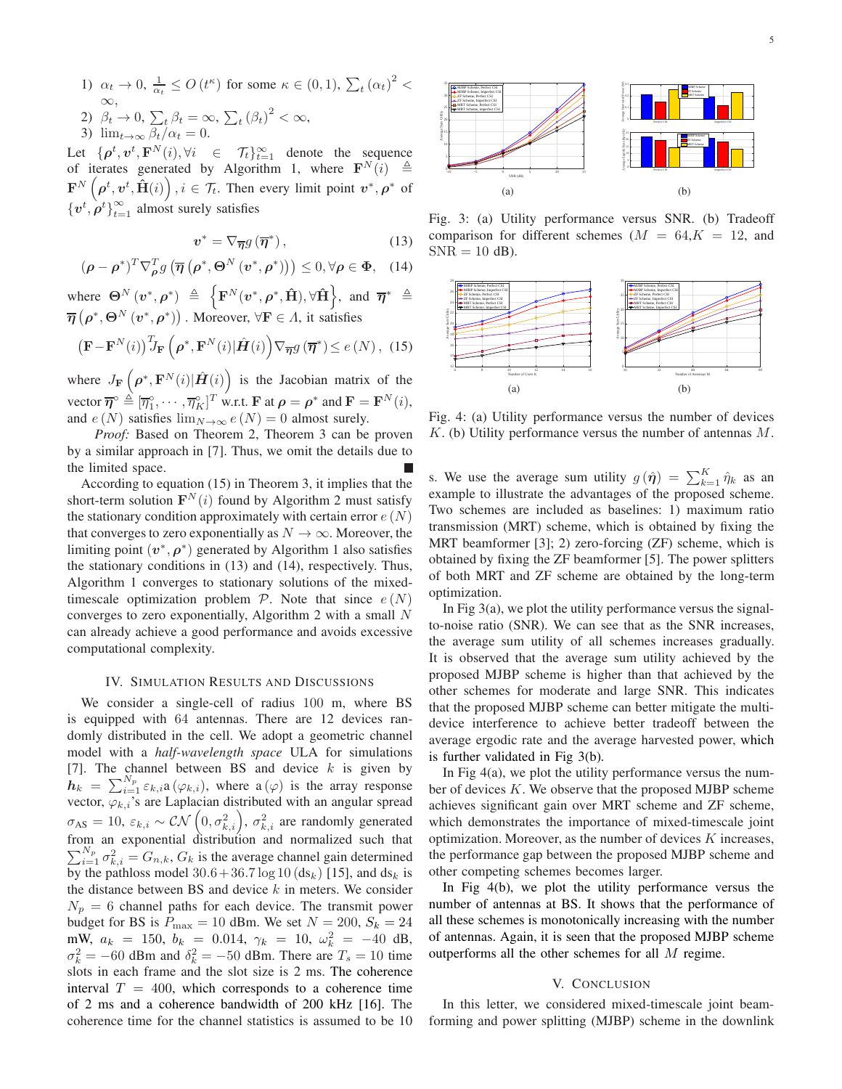1)  $\alpha_t \to 0$ ,  $\frac{1}{\alpha_t} \leq O(t^{\kappa})$  for some  $\kappa \in (0, 1)$ ,  $\sum_t (\alpha_t)^2 <$ ∞, 2)  $\beta_t \to 0$ ,  $\sum_t \beta_t = \infty$ ,  $\sum_t (\beta_t)^2 < \infty$ ,

3)  $\lim_{t\to\infty} \frac{\beta_t}{\alpha_t} = 0.$ 

Let  $\{\boldsymbol{\rho}^t, \boldsymbol{v}^t, \mathbf{F}^N(i), \forall i \in \mathcal{T}_t\}_{t=1}^{\infty}$  denote the sequence of iterates generated by Algorithm 1, where  $\mathbf{F}^{N}(i) \triangleq$  $\mathbf{F}^{N}\left(\boldsymbol{\rho}^{t},\boldsymbol{v}^{t},\hat{\mathbf{H}}(i)\right), i\in\mathcal{T}_{t}.$  Then every limit point  $\boldsymbol{v}^{*},\boldsymbol{\rho}^{*}$  of  $\{v^t, \rho^t\}_{t=1}^{\infty}$  almost surely satisfies

<span id="page-4-2"></span>
$$
v^* = \nabla_{\overline{\eta}} g\left(\overline{\eta}^*\right),\tag{13}
$$

<span id="page-4-3"></span>
$$
(\boldsymbol{\rho} - \boldsymbol{\rho}^*)^T \nabla_{\boldsymbol{\rho}}^T g \left( \overline{\boldsymbol{\eta}} \left( \boldsymbol{\rho}^*, \boldsymbol{\Theta}^N \left( \boldsymbol{v}^*, \boldsymbol{\rho}^* \right) \right) \right) \leq 0, \forall \boldsymbol{\rho} \in \boldsymbol{\Phi}, \quad (14)
$$

where  $\Theta^N(v^*, \rho^*) \triangleq \left\{ \mathbf{F}^N(v^*, \rho^*, \hat{\mathbf{H}}), \forall \hat{\mathbf{H}} \right\}$ , and  $\overline{\eta}^* \triangleq$  $\overline{\boldsymbol{\eta}}\left(\boldsymbol{\rho}^*,\boldsymbol{\Theta}^N\left(\boldsymbol{v}^*,\boldsymbol{\rho}^*\right)\right)$ . Moreover,  $\forall \mathbf{F} \in \Lambda$ , it satisfies

<span id="page-4-1"></span>
$$
\left(\mathbf{F} - \mathbf{F}^{N}(i)\right)^{T} J_{\mathbf{F}}\left(\boldsymbol{\rho}^{*}, \mathbf{F}^{N}(i) | \hat{\boldsymbol{H}}(i)\right) \nabla_{\overline{\boldsymbol{\eta}}} g\left(\overline{\boldsymbol{\eta}}^{*}\right) \leq e\left(N\right), \tag{15}
$$

where  $J_{\mathbf{F}}\left(\boldsymbol{\rho}^*, \mathbf{F}^N(i)|\hat{\boldsymbol{H}}(i)\right)$  is the Jacobian matrix of the vector  $\overline{\boldsymbol{\eta}}^{\circ} \triangleq [\overline{\eta}_1^{\circ}, \cdots, \overline{\eta}_K^{\circ}]^T$  w.r.t. **F** at  $\rho = \rho^*$  and  $\mathbf{F} = \mathbf{F}^N(i)$ , and  $e(N)$  satisfies  $\lim_{N\to\infty}e(N)=0$  almost surely.

*Proof:* Based on Theorem 2, Theorem [3](#page-3-5) can be proven by a similar approach in [\[7\]](#page-5-6). Thus, we omit the details due to the limited space.

According to equation [\(15\)](#page-4-1) in Theorem 3, it implies that the short-term solution  $\mathbf{F}^{N}(i)$  found by Algorithm 2 must satisfy the stationary condition approximately with certain error  $e(N)$ that converges to zero exponentially as  $N \to \infty$ . Moreover, the limiting point  $(v^*, \rho^*)$  generated by Algorithm 1 also satisfies the stationary conditions in [\(13\)](#page-4-2) and [\(14\)](#page-4-3), respectively. Thus, Algorithm 1 converges to stationary solutions of the mixedtimescale optimization problem  $P$ . Note that since  $e(N)$ converges to zero exponentially, Algorithm 2 with a small N can already achieve a good performance and avoids excessive computational complexity.

# IV. SIMULATION RESULTS AND DISCUSSIONS

<span id="page-4-0"></span>We consider a single-cell of radius 100 m, where BS is equipped with 64 antennas. There are 12 devices randomly distributed in the cell. We adopt a geometric channel model with a *half-wavelength space* ULA for simulations [\[7\]](#page-5-6). The channel between BS and device  $k$  is given by  $h_k = \sum_{i=1}^{N_p} \varepsilon_{k,i} a(\varphi_{k,i}),$  where  $a(\varphi)$  is the array response vector,  $\varphi_{k,i}$ 's are Laplacian distributed with an angular spread  $\sigma_{AS} = 10$ ,  $\varepsilon_{k,i} \sim \mathcal{CN}\left(0, \sigma_{k,i}^2\right)$ ,  $\sigma_{k,i}^2$  are randomly generated from an exponential distribution and normalized such that  $\sum_{i=1}^{N_p} \sigma_{k,i}^2 = G_{n,k}$ ,  $G_k$  is the average channel gain determined by the pathloss model  $30.6 + 36.7 \log 10 \left(\text{ds}_k\right)$  [\[15\]](#page-5-14), and  $\text{ds}_k$  is the distance between BS and device  $k$  in meters. We consider  $N_p = 6$  channel paths for each device. The transmit power budget for BS is  $P_{\text{max}} = 10$  dBm. We set  $N = 200$ ,  $S_k = 24$ mW,  $a_k = 150$ ,  $b_k = 0.014$ ,  $\gamma_k = 10$ ,  $\omega_k^2 = -40$  dB,  $\sigma_k^2 = -60$  dBm and  $\delta_k^2 = -50$  dBm. There are  $T_s = 10$  time slots in each frame and the slot size is 2 ms. The coherence interval  $T = 400$ , which corresponds to a coherence time of 2 ms and a coherence bandwidth of 200 kHz [\[16\]](#page-5-15). The coherence time for the channel statistics is assumed to be 10



<span id="page-4-5"></span>Perfect CSI Imperfect CSI

<span id="page-4-7"></span>(b)

Fig. 3: (a) Utility performance versus SNR. (b) Tradeoff comparison for different schemes  $(M = 64, K = 12,$  and  $SNR = 10$  dB).

-10 -5 0 5 10 15 SNR (dB)

(a)

10 15 20

Average Sum Utility

<span id="page-4-4"></span>35

MJBP Scheme, Perfect CSI MJBP Scheme, Imperfect CSI ZF Scheme, Perfect CSI ZF Scheme, Imperfect CSI MRT Scheme, Perfect CSI MRT Scheme, imperfect CSI

<span id="page-4-6"></span>

Fig. 4: (a) Utility performance versus the number of devices  $K$ . (b) Utility performance versus the number of antennas  $M$ .

s. We use the average sum utility  $g(\hat{\eta}) = \sum_{k=1}^{K} \hat{\eta}_k$  as an example to illustrate the advantages of the proposed scheme. Two schemes are included as baselines: 1) maximum ratio transmission (MRT) scheme, which is obtained by fixing the MRT beamformer [\[3\]](#page-5-2); 2) zero-forcing (ZF) scheme, which is obtained by fixing the ZF beamformer [\[5\]](#page-5-4). The power splitters of both MRT and ZF scheme are obtained by the long-term optimization.

In Fig  $3(a)$ , we plot the utility performance versus the signalto-noise ratio (SNR). We can see that as the SNR increases, the average sum utility of all schemes increases gradually. It is observed that the average sum utility achieved by the proposed MJBP scheme is higher than that achieved by the other schemes for moderate and large SNR. This indicates that the proposed MJBP scheme can better mitigate the multidevice interference to achieve better tradeoff between the average ergodic rate and the average harvested power, which is further validated in Fig [3\(b\).](#page-4-5)

In Fig  $4(a)$ , we plot the utility performance versus the number of devices  $K$ . We observe that the proposed MJBP scheme achieves significant gain over MRT scheme and ZF scheme, which demonstrates the importance of mixed-timescale joint optimization. Moreover, as the number of devices  $K$  increases, the performance gap between the proposed MJBP scheme and other competing schemes becomes larger.

In Fig [4\(b\),](#page-4-7) we plot the utility performance versus the number of antennas at BS. It shows that the performance of all these schemes is monotonically increasing with the number of antennas. Again, it is seen that the proposed MJBP scheme outperforms all the other schemes for all M regime.

# V. CONCLUSION

In this letter, we considered mixed-timescale joint beamforming and power splitting (MJBP) scheme in the downlink